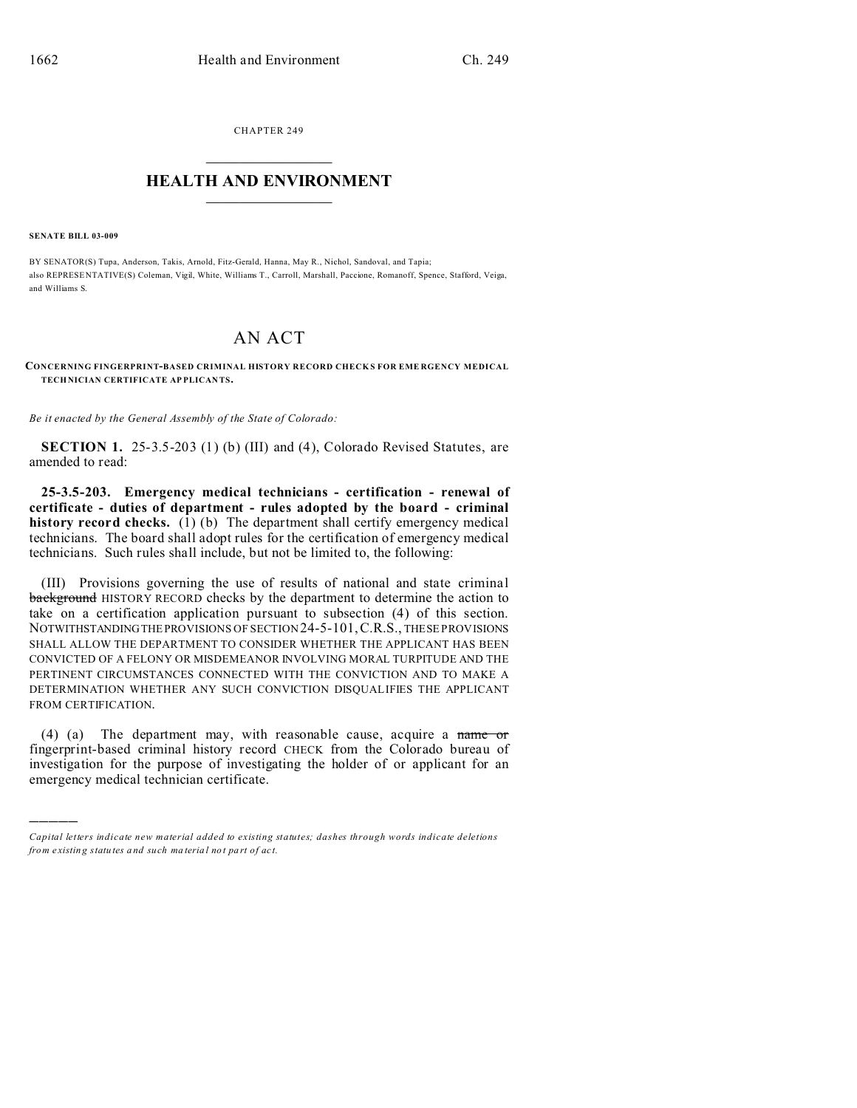CHAPTER 249  $\overline{\phantom{a}}$  , where  $\overline{\phantom{a}}$ 

## **HEALTH AND ENVIRONMENT**  $\_$   $\_$   $\_$   $\_$   $\_$   $\_$   $\_$   $\_$

**SENATE BILL 03-009**

)))))

BY SENATOR(S) Tupa, Anderson, Takis, Arnold, Fitz-Gerald, Hanna, May R., Nichol, Sandoval, and Tapia; also REPRESE NTATIVE(S) Coleman, Vigil, White, Williams T., Carroll, Marshall, Paccione, Romanoff, Spence, Stafford, Veiga, and Williams S.

## AN ACT

**CONCERNING FINGERPRINT-BASED CRIMINAL HISTORY RECORD CHECK S FOR EME RGENCY MEDICAL TECHNICIAN CERTIFICATE AP PLICAN TS.**

*Be it enacted by the General Assembly of the State of Colorado:*

**SECTION 1.** 25-3.5-203 (1) (b) (III) and (4), Colorado Revised Statutes, are amended to read:

**25-3.5-203. Emergency medical technicians - certification - renewal of certificate - duties of department - rules adopted by the board - criminal history record checks.** (1) (b) The department shall certify emergency medical technicians. The board shall adopt rules for the certification of emergency medical technicians. Such rules shall include, but not be limited to, the following:

(III) Provisions governing the use of results of national and state criminal background HISTORY RECORD checks by the department to determine the action to take on a certification application pursuant to subsection (4) of this section. NOTWITHSTANDINGTHEPROVISIONS OF SECTION 24-5-101,C.R.S., THESE PROVISIONS SHALL ALLOW THE DEPARTMENT TO CONSIDER WHETHER THE APPLICANT HAS BEEN CONVICTED OF A FELONY OR MISDEMEANOR INVOLVING MORAL TURPITUDE AND THE PERTINENT CIRCUMSTANCES CONNECTED WITH THE CONVICTION AND TO MAKE A DETERMINATION WHETHER ANY SUCH CONVICTION DISQUALIFIES THE APPLICANT FROM CERTIFICATION.

(4) (a) The department may, with reasonable cause, acquire a name or fingerprint-based criminal history record CHECK from the Colorado bureau of investigation for the purpose of investigating the holder of or applicant for an emergency medical technician certificate.

*Capital letters indicate new material added to existing statutes; dashes through words indicate deletions from e xistin g statu tes a nd such ma teria l no t pa rt of ac t.*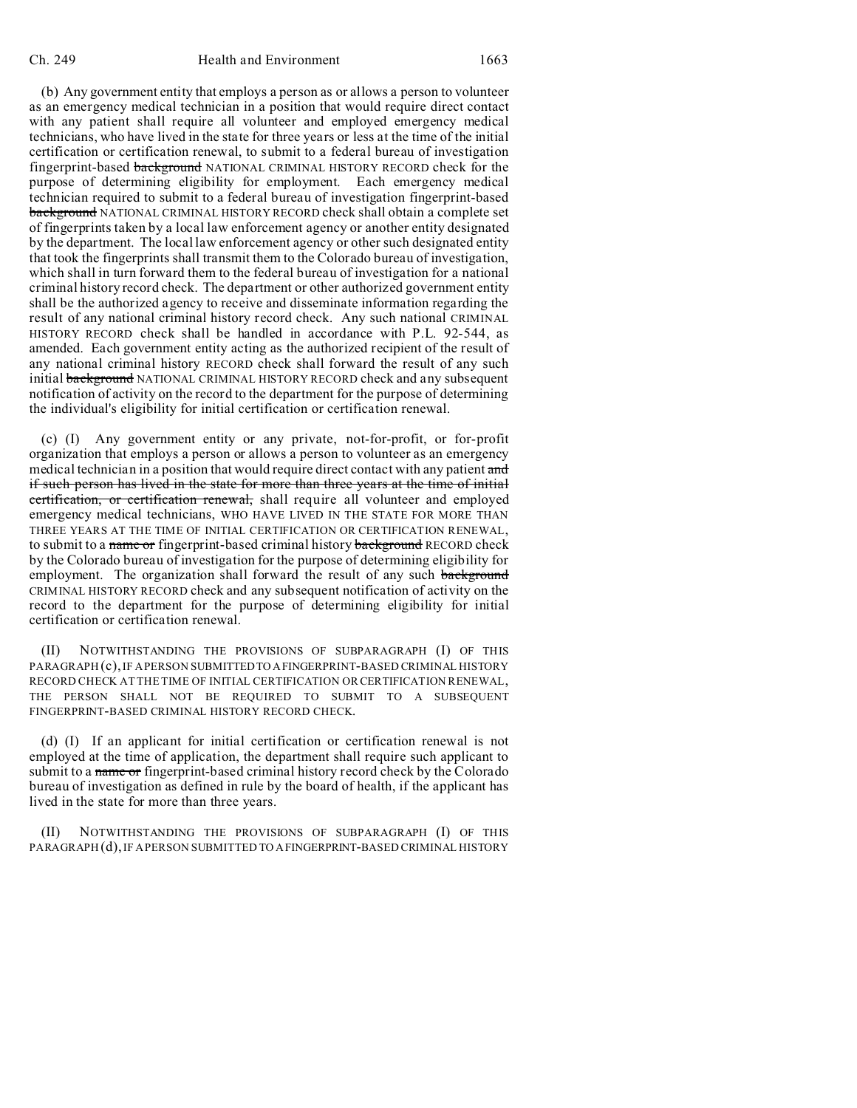(b) Any government entity that employs a person as or allows a person to volunteer as an emergency medical technician in a position that would require direct contact with any patient shall require all volunteer and employed emergency medical technicians, who have lived in the state for three years or less at the time of the initial certification or certification renewal, to submit to a federal bureau of investigation fingerprint-based background NATIONAL CRIMINAL HISTORY RECORD check for the purpose of determining eligibility for employment. Each emergency medical technician required to submit to a federal bureau of investigation fingerprint-based **background** NATIONAL CRIMINAL HISTORY RECORD check shall obtain a complete set of fingerprints taken by a local law enforcement agency or another entity designated by the department. The local law enforcement agency or other such designated entity that took the fingerprints shall transmit them to the Colorado bureau of investigation, which shall in turn forward them to the federal bureau of investigation for a national criminal history record check. The department or other authorized government entity shall be the authorized agency to receive and disseminate information regarding the result of any national criminal history record check. Any such national CRIMINAL HISTORY RECORD check shall be handled in accordance with P.L. 92-544, as amended. Each government entity acting as the authorized recipient of the result of any national criminal history RECORD check shall forward the result of any such initial **background** NATIONAL CRIMINAL HISTORY RECORD check and any subsequent notification of activity on the record to the department for the purpose of determining the individual's eligibility for initial certification or certification renewal.

(c) (I) Any government entity or any private, not-for-profit, or for-profit organization that employs a person or allows a person to volunteer as an emergency medical technician in a position that would require direct contact with any patient and if such person has lived in the state for more than three years at the time of initial certification, or certification renewal, shall require all volunteer and employed emergency medical technicians, WHO HAVE LIVED IN THE STATE FOR MORE THAN THREE YEARS AT THE TIME OF INITIAL CERTIFICATION OR CERTIFICATION RENEWAL, to submit to a name or fingerprint-based criminal history background RECORD check by the Colorado bureau of investigation for the purpose of determining eligibility for employment. The organization shall forward the result of any such background CRIMINAL HISTORY RECORD check and any subsequent notification of activity on the record to the department for the purpose of determining eligibility for initial certification or certification renewal.

(II) NOTWITHSTANDING THE PROVISIONS OF SUBPARAGRAPH (I) OF THIS PARAGRAPH (c), IF A PERSON SUBMITTEDTO AFINGERPRINT-BASED CRIMINAL HISTORY RECORD CHECK AT THE TIME OF INITIAL CERTIFICATION OR CERTIFICATION RENEWAL, THE PERSON SHALL NOT BE REQUIRED TO SUBMIT TO A SUBSEQUENT FINGERPRINT-BASED CRIMINAL HISTORY RECORD CHECK.

(d) (I) If an applicant for initial certification or certification renewal is not employed at the time of application, the department shall require such applicant to submit to a name or fingerprint-based criminal history record check by the Colorado bureau of investigation as defined in rule by the board of health, if the applicant has lived in the state for more than three years.

(II) NOTWITHSTANDING THE PROVISIONS OF SUBPARAGRAPH (I) OF THIS PARAGRAPH (d), IF A PERSON SUBMITTED TO AFINGERPRINT-BASED CRIMINAL HISTORY